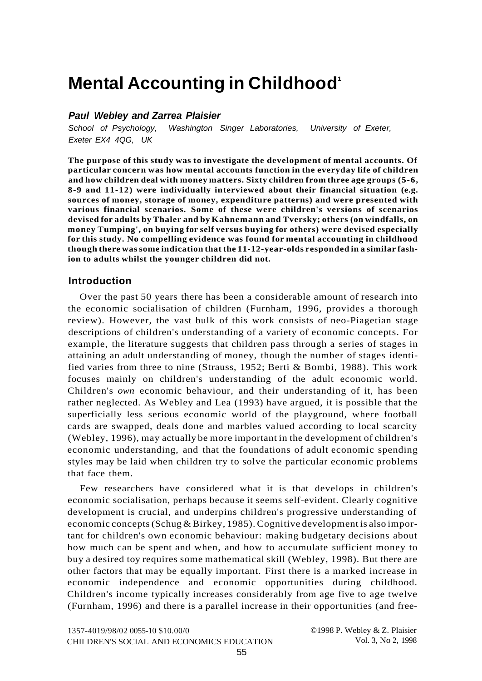# **Mental Accounting in Childhood**<sup>1</sup>

# **Paul Webley and Zarrea Plaisier**

School of Psychology, Washington Singer Laboratories, University of Exeter, Exeter EX4 4QG, UK

**The purpose of this study was to investigate the development of mental accounts. Of particular concern was how mental accounts function in the everyday life of children and how children deal with money matters. Sixty children from three age groups (5-6, 8-9 and 11-12) were individually interviewed about their financial situation (e.g. sources of money, storage of money, expenditure patterns) and were presented with various financial scenarios. Some of these were children's versions of scenarios devised for adults by Thaler and by Kahnemann and Tversky; others (on windfalls, on money Tumping', on buying for self versus buying for others) were devised especially for this study. No compelling evidence was found for mental accounting in childhood though there was some indication that the 11-12-year-olds responded in a similar fashion to adults whilst the younger children did not.** 

# **Introduction**

Over the past 50 years there has been a considerable amount of research into the economic socialisation of children (Furnham, 1996, provides a thorough review). However, the vast bulk of this work consists of neo-Piagetian stage descriptions of children's understanding of a variety of economic concepts. For example, the literature suggests that children pass through a series of stages in attaining an adult understanding of money, though the number of stages identified varies from three to nine (Strauss, 1952; Berti & Bombi, 1988). This work focuses mainly on children's understanding of the adult economic world. Children's *own* economic behaviour, and their understanding of it, has been rather neglected. As Webley and Lea (1993) have argued, it is possible that the superficially less serious economic world of the playground, where football cards are swapped, deals done and marbles valued according to local scarcity (Webley, 1996), may actually be more important in the development of children's economic understanding, and that the foundations of adult economic spending styles may be laid when children try to solve the particular economic problems that face them.

Few researchers have considered what it is that develops in children's economic socialisation, perhaps because it seems self-evident. Clearly cognitive development is crucial, and underpins children's progressive understanding of economic concepts (Schug & Birkey, 1985). Cognitive development is also important for children's own economic behaviour: making budgetary decisions about how much can be spent and when, and how to accumulate sufficient money to buy a desired toy requires some mathematical skill (Webley, 1998). But there are other factors that may be equally important. First there is a marked increase in economic independence and economic opportunities during childhood. Children's income typically increases considerably from age five to age twelve (Furnham, 1996) and there is a parallel increase in their opportunities (and free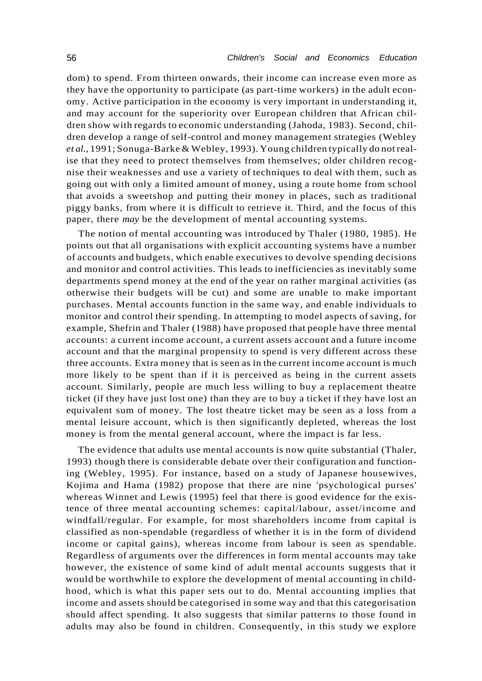dom) to spend. From thirteen onwards, their income can increase even more as they have the opportunity to participate (as part-time workers) in the adult economy. Active participation in the economy is very important in understanding it, and may account for the superiority over European children that African children show with regards to economic understanding (Jahoda, 1983). Second, children develop a range of self-control and money management strategies (Webley *et al.,* 1991; Sonuga-Barke & Webley, 1993). Young children typically do not realise that they need to protect themselves from themselves; older children recognise their weaknesses and use a variety of techniques to deal with them, such as going out with only a limited amount of money, using a route home from school that avoids a sweetshop and putting their money in places, such as traditional piggy banks, from where it is difficult to retrieve it. Third, and the focus of this paper, there *may* be the development of mental accounting systems.

The notion of mental accounting was introduced by Thaler (1980, 1985). He points out that all organisations with explicit accounting systems have a number of accounts and budgets, which enable executives to devolve spending decisions and monitor and control activities. This leads to inefficiencies as inevitably some departments spend money at the end of the year on rather marginal activities (as otherwise their budgets will be cut) and some are unable to make important purchases. Mental accounts function in the same way, and enable individuals to monitor and control their spending. In attempting to model aspects of saving, for example, Shefrin and Thaler (1988) have proposed that people have three mental accounts: a current income account, a current assets account and a future income account and that the marginal propensity to spend is very different across these three accounts. Extra money that is seen as in the current income account is much more likely to be spent than if it is perceived as being in the current assets account. Similarly, people are much less willing to buy a replacement theatre ticket (if they have just lost one) than they are to buy a ticket if they have lost an equivalent sum of money. The lost theatre ticket may be seen as a loss from a mental leisure account, which is then significantly depleted, whereas the lost money is from the mental general account, where the impact is far less.

The evidence that adults use mental accounts is now quite substantial (Thaler, 1993) though there is considerable debate over their configuration and functioning (Webley, 1995). For instance, based on a study of Japanese housewives, Kojima and Hama (1982) propose that there are nine 'psychological purses' whereas Winnet and Lewis (1995) feel that there is good evidence for the existence of three mental accounting schemes: capital/labour, asset/income and windfall/regular. For example, for most shareholders income from capital is classified as non-spendable (regardless of whether it is in the form of dividend income or capital gains), whereas income from labour is seen as spendable. Regardless of arguments over the differences in form mental accounts may take however, the existence of some kind of adult mental accounts suggests that it would be worthwhile to explore the development of mental accounting in childhood, which is what this paper sets out to do. Mental accounting implies that income and assets should be categorised in some way and that this categorisation should affect spending. It also suggests that similar patterns to those found in adults may also be found in children. Consequently, in this study we explore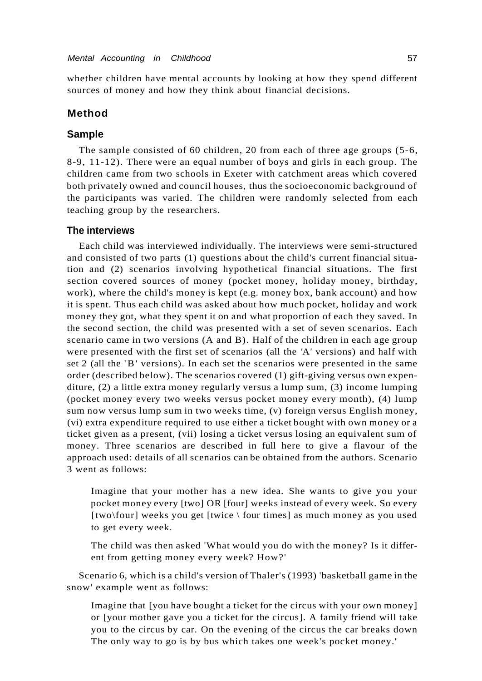whether children have mental accounts by looking at how they spend different sources of money and how they think about financial decisions.

## **Method**

## **Sample**

The sample consisted of 60 children, 20 from each of three age groups (5-6, 8-9, 11-12). There were an equal number of boys and girls in each group. The children came from two schools in Exeter with catchment areas which covered both privately owned and council houses, thus the socioeconomic background of the participants was varied. The children were randomly selected from each teaching group by the researchers.

# **The interviews**

Each child was interviewed individually. The interviews were semi-structured and consisted of two parts (1) questions about the child's current financial situation and (2) scenarios involving hypothetical financial situations. The first section covered sources of money (pocket money, holiday money, birthday, work), where the child's money is kept (e.g. money box, bank account) and how it is spent. Thus each child was asked about how much pocket, holiday and work money they got, what they spent it on and what proportion of each they saved. In the second section, the child was presented with a set of seven scenarios. Each scenario came in two versions (A and B). Half of the children in each age group were presented with the first set of scenarios (all the *'*A*'* versions) and half with set 2 (all the 'B' versions). In each set the scenarios were presented in the same order (described below). The scenarios covered (1) gift-giving versus own expenditure, (2) a little extra money regularly versus a lump sum, (3) income lumping (pocket money every two weeks versus pocket money every month), (4) lump sum now versus lump sum in two weeks time, (v) foreign versus English money, (vi) extra expenditure required to use either a ticket bought with own money or a ticket given as a present, (vii) losing a ticket versus losing an equivalent sum of money. Three scenarios are described in full here to give a flavour of the approach used: details of all scenarios can be obtained from the authors. Scenario 3 went as follows:

Imagine that your mother has a new idea. She wants to give you your pocket money every [two] OR [four] weeks instead of every week. So every [two\four] weeks you get [twice \ four times] as much money as you used to get every week.

The child was then asked 'What would you do with the money? Is it different from getting money every week? How?'

Scenario 6, which is a child's version of Thaler's (1993) 'basketball game in the snow' example went as follows:

Imagine that [you have bought a ticket for the circus with your own money] or [your mother gave you a ticket for the circus]. A family friend will take you to the circus by car. On the evening of the circus the car breaks down The only way to go is by bus which takes one week's pocket money.'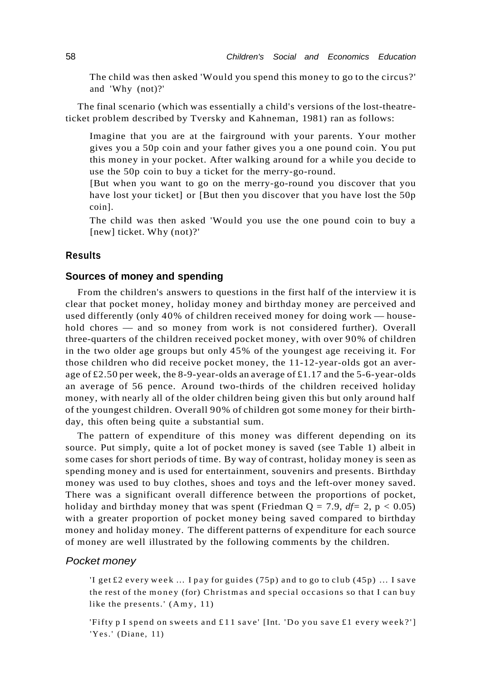The child was then asked 'Would you spend this money to go to the circus?' and 'Why (not)?'

The final scenario (which was essentially a child's versions of the lost-theatreticket problem described by Tversky and Kahneman, 1981) ran as follows:

Imagine that you are at the fairground with your parents. Your mother gives you a 50p coin and your father gives you a one pound coin. You put this money in your pocket. After walking around for a while you decide to use the 50p coin to buy a ticket for the merry-go-round.

[But when you want to go on the merry-go-round you discover that you have lost your ticket] or [But then you discover that you have lost the 50p coin].

The child was then asked 'Would you use the one pound coin to buy a [new] ticket. Why (not)?'

# **Results**

## **Sources of money and spending**

From the children's answers to questions in the first half of the interview it is clear that pocket money, holiday money and birthday money are perceived and used differently (only 40% of children received money for doing work — household chores — and so money from work is not considered further). Overall three-quarters of the children received pocket money, with over 90% of children in the two older age groups but only 45% of the youngest age receiving it. For those children who did receive pocket money, the 11-12-year-olds got an average of  $\text{\pounds}2.50$  per week, the 8-9-year-olds an average of  $\text{\pounds}1.17$  and the 5-6-year-olds an average of 56 pence. Around two-thirds of the children received holiday money, with nearly all of the older children being given this but only around half of the youngest children. Overall 90% of children got some money for their birthday, this often being quite a substantial sum.

The pattern of expenditure of this money was different depending on its source. Put simply, quite a lot of pocket money is saved (see Table 1) albeit in some cases for short periods of time. By way of contrast, holiday money is seen as spending money and is used for entertainment, souvenirs and presents. Birthday money was used to buy clothes, shoes and toys and the left-over money saved. There was a significant overall difference between the proportions of pocket, holiday and birthday money that was spent (Friedman  $Q = 7.9$ ,  $df = 2$ ,  $p < 0.05$ ) with a greater proportion of pocket money being saved compared to birthday money and holiday money. The different patterns of expenditure for each source of money are well illustrated by the following comments by the children.

#### Pocket money

'I get  $\pounds$  2 every week ... I pay for guides (75p) and to go to club (45p) ... I save the rest of the money (for) Christmas and special occasions so that I can buy like the presents.' (Amy, 11)

'Fifty p I spend on sweets and £1 1 save ' [Int. 'Do you save £1 every week?'] 'Yes.' (Diane, 11)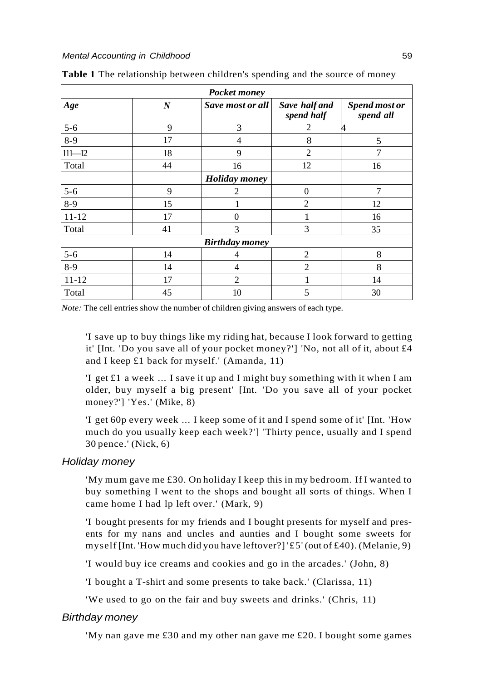#### Mental Accounting in Childhood 59 and 59 and 59 and 59 and 59 and 59 and 59 and 59 and 59 and 59 and 59 and 59

| Pocket money          |                  |                      |                             |                                   |  |  |
|-----------------------|------------------|----------------------|-----------------------------|-----------------------------------|--|--|
| Age                   | $\boldsymbol{N}$ | Save most or all     | Save half and<br>spend half | <b>Spend most or</b><br>spend all |  |  |
| $5 - 6$               | 9                | 3                    | 2                           | 4                                 |  |  |
| $8-9$                 | 17               | 4                    | 8                           | 5                                 |  |  |
| $111 - 12$            | 18               | 9                    | $\overline{c}$              | $\overline{7}$                    |  |  |
| Total                 | 44               | 16                   | 12                          | 16                                |  |  |
|                       |                  | <b>Holiday</b> money |                             |                                   |  |  |
| $5 - 6$               | 9                | 2                    | $\theta$                    | 7                                 |  |  |
| $8-9$                 | 15               |                      | $\overline{2}$              | 12                                |  |  |
| $11 - 12$             | 17               | $\Omega$             | 1                           | 16                                |  |  |
| Total                 | 41               | 3                    | 3                           | 35                                |  |  |
| <b>Birthday</b> money |                  |                      |                             |                                   |  |  |
| $5 - 6$               | 14               | 4                    | $\overline{2}$              | 8                                 |  |  |
| $8-9$                 | 14               | 4                    | $\overline{c}$              | 8                                 |  |  |
| $11 - 12$             | 17               | 2                    |                             | 14                                |  |  |
| Total                 | 45               | 10                   | 5                           | 30                                |  |  |

**Table 1** The relationship between children's spending and the source of money

*Note:* The cell entries show the number of children giving answers of each type.

'I save up to buy things like my riding hat, because I look forward to getting it' [Int. 'Do you save all of your pocket money?'] 'No, not all of it, about £4 and I keep £1 back for myself.' (Amanda, 11)

'I get  $\pounds$  1 a week ... I save it up and I might buy something with it when I am older, buy myself a big present' [Int. 'Do you save all of your pocket money?'] 'Yes.' (Mike, 8)

'I get 60p every week ... I keep some of it and I spend some of it' [Int. 'How much do you usually keep each week?'] 'Thirty pence, usually and I spend 30 pence.' (Nick, 6)

# Holiday money

'My mum gave me £30. On holiday I keep this in my bedroom. If I wanted to buy something I went to the shops and bought all sorts of things. When I came home I had lp left over.' (Mark, 9)

'I bought presents for my friends and I bought presents for myself and presents for my nans and uncles and aunties and I bought some sweets for myself [Int. 'How much did you have leftover?] '£5' (out of £40). (Melanie, 9)

'I would buy ice creams and cookies and go in the arcades.' (John, 8)

'I bought a T-shirt and some presents to take back.' (Clarissa, 11)

'We used to go on the fair and buy sweets and drinks.' (Chris, 11)

# Birthday money

'My nan gave me £30 and my other nan gave me £20. I bought some games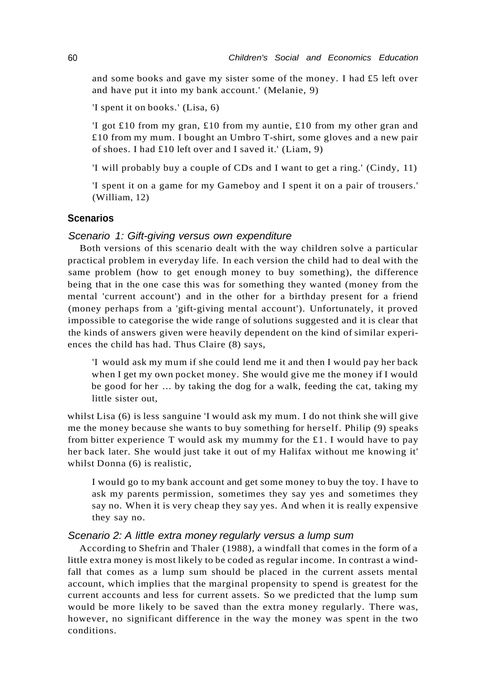and some books and gave my sister some of the money. I had  $£5$  left over and have put it into my bank account.' (Melanie, 9)

'I spent it on books.' (Lisa, 6)

'I got £10 from my gran, £10 from my auntie, £10 from my other gran and £10 from my mum. I bought an Umbro T-shirt, some gloves and a new pair of shoes. I had £10 left over and I saved it.' (Liam, 9)

'I will probably buy a couple of CDs and I want to get a ring.' (Cindy, 11)

'I spent it on a game for my Gameboy and I spent it on a pair of trousers.' (William, 12)

## **Scenarios**

#### Scenario 1: Gift-giving versus own expenditure

Both versions of this scenario dealt with the way children solve a particular practical problem in everyday life. In each version the child had to deal with the same problem (how to get enough money to buy something), the difference being that in the one case this was for something they wanted (money from the mental 'current account') and in the other for a birthday present for a friend (money perhaps from a 'gift-giving mental account'). Unfortunately, it proved impossible to categorise the wide range of solutions suggested and it is clear that the kinds of answers given were heavily dependent on the kind of similar experiences the child has had. Thus Claire (8) says,

'I would ask my mum if she could lend me it and then I would pay her back when I get my own pocket money. She would give me the money if I would be good for her ... by taking the dog for a walk, feeding the cat, taking my little sister out

whilst Lisa (6) is less sanguine 'I would ask my mum. I do not think she will give me the money because she wants to buy something for herself. Philip (9) speaks from bitter experience T would ask my mummy for the £1. I would have to pay her back later. She would just take it out of my Halifax without me knowing it' whilst Donna (6) is realistic,

I would go to my bank account and get some money to buy the toy. I have to ask my parents permission, sometimes they say yes and sometimes they say no. When it is very cheap they say yes. And when it is really expensive they say no.

#### Scenario 2: A little extra money regularly versus a lump sum

According to Shefrin and Thaler (1988), a windfall that comes in the form of a little extra money is most likely to be coded as regular income. In contrast a windfall that comes as a lump sum should be placed in the current assets mental account, which implies that the marginal propensity to spend is greatest for the current accounts and less for current assets. So we predicted that the lump sum would be more likely to be saved than the extra money regularly. There was, however, no significant difference in the way the money was spent in the two conditions.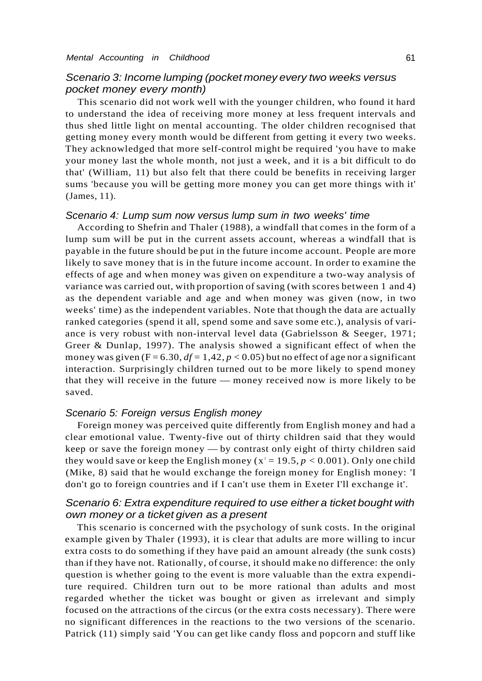# Scenario 3: Income lumping (pocket money every two weeks versus pocket money every month)

This scenario did not work well with the younger children, who found it hard to understand the idea of receiving more money at less frequent intervals and thus shed little light on mental accounting. The older children recognised that getting money every month would be different from getting it every two weeks. They acknowledged that more self-control might be required 'you have to make your money last the whole month, not just a week, and it is a bit difficult to do that' (William, 11) but also felt that there could be benefits in receiving larger sums 'because you will be getting more money you can get more things with it' (James, 11).

#### Scenario 4: Lump sum now versus lump sum in two weeks' time

According to Shefrin and Thaler (1988), a windfall that comes in the form of a lump sum will be put in the current assets account, whereas a windfall that is payable in the future should be put in the future income account. People are more likely to save money that is in the future income account. In order to examine the effects of age and when money was given on expenditure a two-way analysis of variance was carried out, with proportion of saving (with scores between 1 and 4) as the dependent variable and age and when money was given (now, in two weeks' time) as the independent variables. Note that though the data are actually ranked categories (spend it all, spend some and save some etc.), analysis of variance is very robust with non-interval level data (Gabrielsson & Seeger, 1971; Greer & Dunlap, 1997). The analysis showed a significant effect of when the money was given  $(F = 6.30, df = 1.42, p < 0.05)$  but no effect of age nor a significant interaction. Surprisingly children turned out to be more likely to spend money that they will receive in the future — money received now is more likely to be saved.

## Scenario 5: Foreign versus English money

Foreign money was perceived quite differently from English money and had a clear emotional value. Twenty-five out of thirty children said that they would keep or save the foreign money — by contrast only eight of thirty children said they would save or keep the English money  $(x^2 = 19.5, p < 0.001)$ . Only one child (Mike, 8) said that he would exchange the foreign money for English money: 'I don't go to foreign countries and if I can't use them in Exeter I'll exchange it'.

# Scenario 6: Extra expenditure required to use either a ticket bought with own money or a ticket given as a present

This scenario is concerned with the psychology of sunk costs. In the original example given by Thaler (1993), it is clear that adults are more willing to incur extra costs to do something if they have paid an amount already (the sunk costs) than if they have not. Rationally, of course, it should make no difference: the only question is whether going to the event is more valuable than the extra expenditure required. Children turn out to be more rational than adults and most regarded whether the ticket was bought or given as irrelevant and simply focused on the attractions of the circus (or the extra costs necessary). There were no significant differences in the reactions to the two versions of the scenario. Patrick (11) simply said 'You can get like candy floss and popcorn and stuff like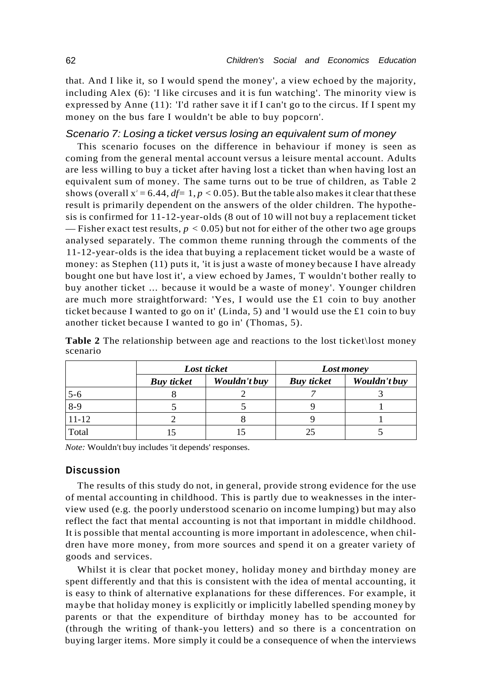that. And I like it, so I would spend the money', a view echoed by the majority, including Alex (6): 'I like circuses and it is fun watching'. The minority view is expressed by Anne (11): 'I'd rather save it if I can't go to the circus. If I spent my money on the bus fare I wouldn't be able to buy popcorn'.

## Scenario 7: Losing a ticket versus losing an equivalent sum of money

This scenario focuses on the difference in behaviour if money is seen as coming from the general mental account versus a leisure mental account. Adults are less willing to buy a ticket after having lost a ticket than when having lost an equivalent sum of money. The same turns out to be true of children, as Table 2 shows (overall  $x^2 = 6.44$ ,  $df = 1$ ,  $p < 0.05$ ). But the table also makes it clear that these result is primarily dependent on the answers of the older children. The hypothesis is confirmed for 11-12-year-olds (8 out of 10 will not buy a replacement ticket  $-$  Fisher exact test results,  $p < 0.05$  but not for either of the other two age groups analysed separately. The common theme running through the comments of the 11-12-year-olds is the idea that buying a replacement ticket would be a waste of money: as Stephen (11) puts it, 'it is just a waste of money because I have already bought one but have lost it', a view echoed by James, T wouldn't bother really to buy another ticket ... because it would be a waste of money'. Younger children are much more straightforward: 'Yes, I would use the £1 coin to buy another ticket because I wanted to go on it' (Linda, 5) and 'I would use the £1 coin to buy another ticket because I wanted to go in' (Thomas, 5).

|           | Lost ticket       |              | <b>Lost money</b> |              |
|-----------|-------------------|--------------|-------------------|--------------|
|           | <b>Buy ticket</b> | Wouldn't buy | <b>Buy</b> ticket | Wouldn't buy |
| $5 - 6$   |                   |              |                   |              |
| $8-9$     |                   |              |                   |              |
| $11 - 12$ |                   |              |                   |              |
| Total     |                   |              | 25                |              |

**Table 2** The relationship between age and reactions to the lost ticket\lost money scenario

*Note:* Wouldn't buy includes 'it depends' responses.

# **Discussion**

The results of this study do not, in general, provide strong evidence for the use of mental accounting in childhood. This is partly due to weaknesses in the interview used (e.g. the poorly understood scenario on income lumping) but may also reflect the fact that mental accounting is not that important in middle childhood. It is possible that mental accounting is more important in adolescence, when children have more money, from more sources and spend it on a greater variety of goods and services.

Whilst it is clear that pocket money, holiday money and birthday money are spent differently and that this is consistent with the idea of mental accounting, it is easy to think of alternative explanations for these differences. For example, it maybe that holiday money is explicitly or implicitly labelled spending money by parents or that the expenditure of birthday money has to be accounted for (through the writing of thank-you letters) and so there is a concentration on buying larger items. More simply it could be a consequence of when the interviews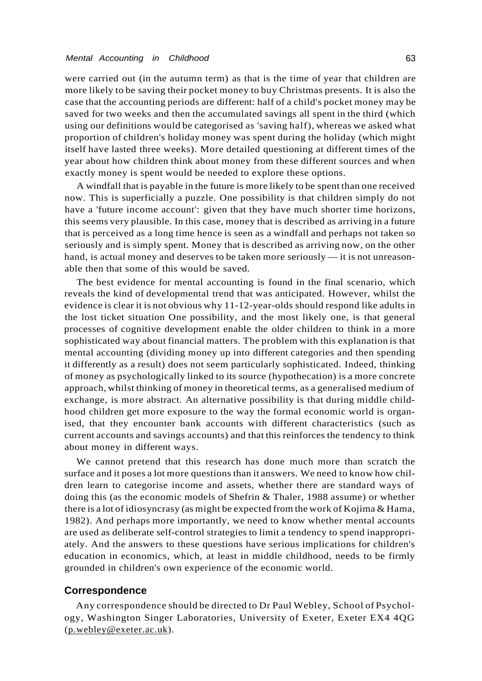were carried out (in the autumn term) as that is the time of year that children are more likely to be saving their pocket money to buy Christmas presents. It is also the case that the accounting periods are different: half of a child's pocket money may be saved for two weeks and then the accumulated savings all spent in the third (which using our definitions would be categorised as 'saving half), whereas we asked what proportion of children's holiday money was spent during the holiday (which might itself have lasted three weeks). More detailed questioning at different times of the year about how children think about money from these different sources and when exactly money is spent would be needed to explore these options.

A windfall that is payable in the future is more likely to be spent than one received now. This is superficially a puzzle. One possibility is that children simply do not have a 'future income account': given that they have much shorter time horizons, this seems very plausible. In this case, money that is described as arriving in a future that is perceived as a long time hence is seen as a windfall and perhaps not taken so seriously and is simply spent. Money that is described as arriving now, on the other hand, is actual money and deserves to be taken more seriously — it is not unreasonable then that some of this would be saved.

The best evidence for mental accounting is found in the final scenario, which reveals the kind of developmental trend that was anticipated. However, whilst the evidence is clear it is not obvious why 11-12-year-olds should respond like adults in the lost ticket situation One possibility, and the most likely one, is that general processes of cognitive development enable the older children to think in a more sophisticated way about financial matters. The problem with this explanation is that mental accounting (dividing money up into different categories and then spending it differently as a result) does not seem particularly sophisticated. Indeed, thinking of money as psychologically linked to its source (hypothecation) is a more concrete approach, whilst thinking of money in theoretical terms, as a generalised medium of exchange, is more abstract. An alternative possibility is that during middle childhood children get more exposure to the way the formal economic world is organised, that they encounter bank accounts with different characteristics (such as current accounts and savings accounts) and that this reinforces the tendency to think about money in different ways.

We cannot pretend that this research has done much more than scratch the surface and it poses a lot more questions than it answers. We need to know how children learn to categorise income and assets, whether there are standard ways of doing this (as the economic models of Shefrin & Thaler, 1988 assume) or whether there is a lot of idiosyncrasy (as might be expected from the work of Kojima & Hama, 1982). And perhaps more importantly, we need to know whether mental accounts are used as deliberate self-control strategies to limit a tendency to spend inappropriately. And the answers to these questions have serious implications for children's education in economics, which, at least in middle childhood, needs to be firmly grounded in children's own experience of the economic world.

## **Correspondence**

Any correspondence should be directed to Dr Paul Webley, School of Psychology, Washington Singer Laboratories, University of Exeter, Exeter EX4 4QG ([p.webley@exeter.ac.uk\)](mailto:p.webley@exeter.ac.uk).